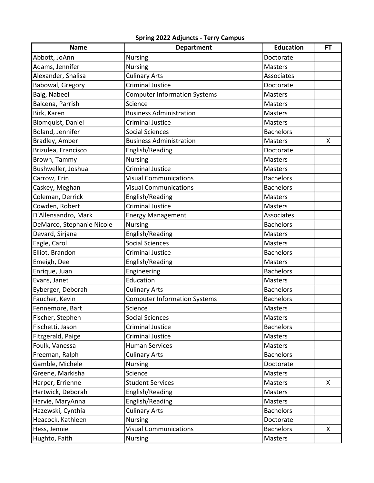## Spring 2022 **Adjuncts** - Terry Campus

| <b>Name</b>               | <b>Department</b>                   | <b>Education</b> | <b>FT</b> |
|---------------------------|-------------------------------------|------------------|-----------|
| Abbott, JoAnn             | <b>Nursing</b>                      | Doctorate        |           |
| Adams, Jennifer           | <b>Nursing</b>                      | <b>Masters</b>   |           |
| Alexander, Shalisa        | <b>Culinary Arts</b>                | Associates       |           |
| Babowal, Gregory          | Criminal Justice                    | Doctorate        |           |
| Baig, Nabeel              | <b>Computer Information Systems</b> | Masters          |           |
| Balcena, Parrish          | Science                             | <b>Masters</b>   |           |
| Birk, Karen               | <b>Business Administration</b>      | <b>Masters</b>   |           |
| <b>Blomquist, Daniel</b>  | <b>Criminal Justice</b>             | <b>Masters</b>   |           |
| Boland, Jennifer          | <b>Social Sciences</b>              | <b>Bachelors</b> |           |
| Bradley, Amber            | <b>Business Administration</b>      | <b>Masters</b>   | Χ         |
| Brizulea, Francisco       | English/Reading                     | Doctorate        |           |
| Brown, Tammy              | <b>Nursing</b>                      | <b>Masters</b>   |           |
| Bushweller, Joshua        | <b>Criminal Justice</b>             | <b>Masters</b>   |           |
| Carrow, Erin              | <b>Visual Communications</b>        | <b>Bachelors</b> |           |
| Caskey, Meghan            | <b>Visual Communications</b>        | <b>Bachelors</b> |           |
| Coleman, Derrick          | English/Reading                     | <b>Masters</b>   |           |
| Cowden, Robert            | Criminal Justice                    | <b>Masters</b>   |           |
| D'Allensandro, Mark       | <b>Energy Management</b>            | Associates       |           |
| DeMarco, Stephanie Nicole | <b>Nursing</b>                      | <b>Bachelors</b> |           |
| Devard, Sirjana           | English/Reading                     | Masters          |           |
| Eagle, Carol              | <b>Social Sciences</b>              | <b>Masters</b>   |           |
| Elliot, Brandon           | <b>Criminal Justice</b>             | <b>Bachelors</b> |           |
| Emeigh, Dee               | English/Reading                     | Masters          |           |
| Enrique, Juan             | Engineering                         | <b>Bachelors</b> |           |
| Evans, Janet              | Education                           | Masters          |           |
| Eyberger, Deborah         | <b>Culinary Arts</b>                | <b>Bachelors</b> |           |
| Faucher, Kevin            | <b>Computer Information Systems</b> | <b>Bachelors</b> |           |
| Fennemore, Bart           | Science                             | <b>Masters</b>   |           |
| Fischer, Stephen          | <b>Social Sciences</b>              | Masters          |           |
| Fischetti, Jason          | <b>Criminal Justice</b>             | <b>Bachelors</b> |           |
| Fitzgerald, Paige         | Criminal Justice                    | <b>Masters</b>   |           |
| Foulk, Vanessa            | <b>Human Services</b>               | Masters          |           |
| Freeman, Ralph            | <b>Culinary Arts</b>                | <b>Bachelors</b> |           |
| Gamble, Michele           | <b>Nursing</b>                      | Doctorate        |           |
| Greene, Markisha          | Science                             | Masters          |           |
| Harper, Errienne          | <b>Student Services</b>             | Masters          | X         |
| Hartwick, Deborah         | English/Reading                     | Masters          |           |
| Harvie, MaryAnna          | English/Reading                     | Masters          |           |
| Hazewski, Cynthia         | <b>Culinary Arts</b>                | <b>Bachelors</b> |           |
| Heacock, Kathleen         | <b>Nursing</b>                      | Doctorate        |           |
| Hess, Jennie              | <b>Visual Communications</b>        | <b>Bachelors</b> | X         |
| Hughto, Faith             | <b>Nursing</b>                      | Masters          |           |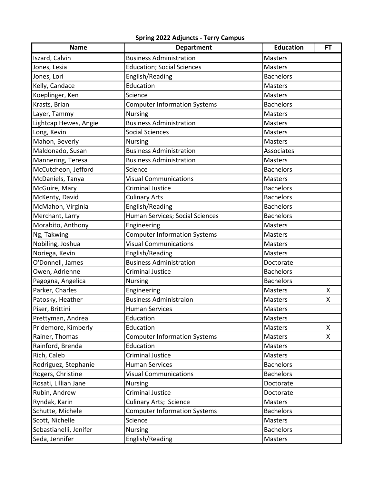## Spring 2022 **Adjuncts** - Terry Campus

| <b>Name</b>            | <b>Department</b>                   | <b>Education</b> | <b>FT</b> |
|------------------------|-------------------------------------|------------------|-----------|
| Iszard, Calvin         | <b>Business Administration</b>      | Masters          |           |
| Jones, Lesia           | <b>Education; Social Sciences</b>   | <b>Masters</b>   |           |
| Jones, Lori            | English/Reading                     | <b>Bachelors</b> |           |
| Kelly, Candace         | Education                           | <b>Masters</b>   |           |
| Koeplinger, Ken        | Science                             | <b>Masters</b>   |           |
| Krasts, Brian          | <b>Computer Information Systems</b> | <b>Bachelors</b> |           |
| Layer, Tammy           | <b>Nursing</b>                      | <b>Masters</b>   |           |
| Lightcap Hewes, Angie  | <b>Business Administration</b>      | Masters          |           |
| Long, Kevin            | <b>Social Sciences</b>              | <b>Masters</b>   |           |
| Mahon, Beverly         | <b>Nursing</b>                      | <b>Masters</b>   |           |
| Maldonado, Susan       | <b>Business Administration</b>      | Associates       |           |
| Mannering, Teresa      | <b>Business Administration</b>      | <b>Masters</b>   |           |
| McCutcheon, Jefford    | Science                             | <b>Bachelors</b> |           |
| McDaniels, Tanya       | <b>Visual Communications</b>        | <b>Masters</b>   |           |
| McGuire, Mary          | <b>Criminal Justice</b>             | <b>Bachelors</b> |           |
| McKenty, David         | <b>Culinary Arts</b>                | <b>Bachelors</b> |           |
| McMahon, Virginia      | English/Reading                     | <b>Bachelors</b> |           |
| Merchant, Larry        | Human Services; Social Sciences     | <b>Bachelors</b> |           |
| Morabito, Anthony      | Engineering                         | <b>Masters</b>   |           |
| Ng, Takwing            | <b>Computer Information Systems</b> | Masters          |           |
| Nobiling, Joshua       | <b>Visual Communications</b>        | <b>Masters</b>   |           |
| Noriega, Kevin         | English/Reading                     | <b>Masters</b>   |           |
| O'Donnell, James       | <b>Business Administration</b>      | Doctorate        |           |
| Owen, Adrienne         | <b>Criminal Justice</b>             | <b>Bachelors</b> |           |
| Pagogna, Angelica      | <b>Nursing</b>                      | <b>Bachelors</b> |           |
| Parker, Charles        | Engineering                         | Masters          | Χ         |
| Patosky, Heather       | <b>Business Administraion</b>       | Masters          | Χ         |
| Piser, Brittini        | <b>Human Services</b>               | <b>Masters</b>   |           |
| Prettyman, Andrea      | Education                           | <b>Masters</b>   |           |
| Pridemore, Kimberly    | Education                           | <b>Masters</b>   | X         |
| Rainer, Thomas         | <b>Computer Information Systems</b> | <b>Masters</b>   | X         |
| Rainford, Brenda       | Education                           | Masters          |           |
| Rich, Caleb            | Criminal Justice                    | <b>Masters</b>   |           |
| Rodriguez, Stephanie   | <b>Human Services</b>               | <b>Bachelors</b> |           |
| Rogers, Christine      | <b>Visual Communications</b>        | <b>Bachelors</b> |           |
| Rosati, Lillian Jane   | <b>Nursing</b>                      | Doctorate        |           |
| Rubin, Andrew          | Criminal Justice                    | Doctorate        |           |
| Ryndak, Karin          | <b>Culinary Arts; Science</b>       | Masters          |           |
| Schutte, Michele       | <b>Computer Information Systems</b> | <b>Bachelors</b> |           |
| Scott, Nichelle        | Science                             | Masters          |           |
| Sebastianelli, Jenifer | <b>Nursing</b>                      | <b>Bachelors</b> |           |
| Seda, Jennifer         | English/Reading                     | Masters          |           |